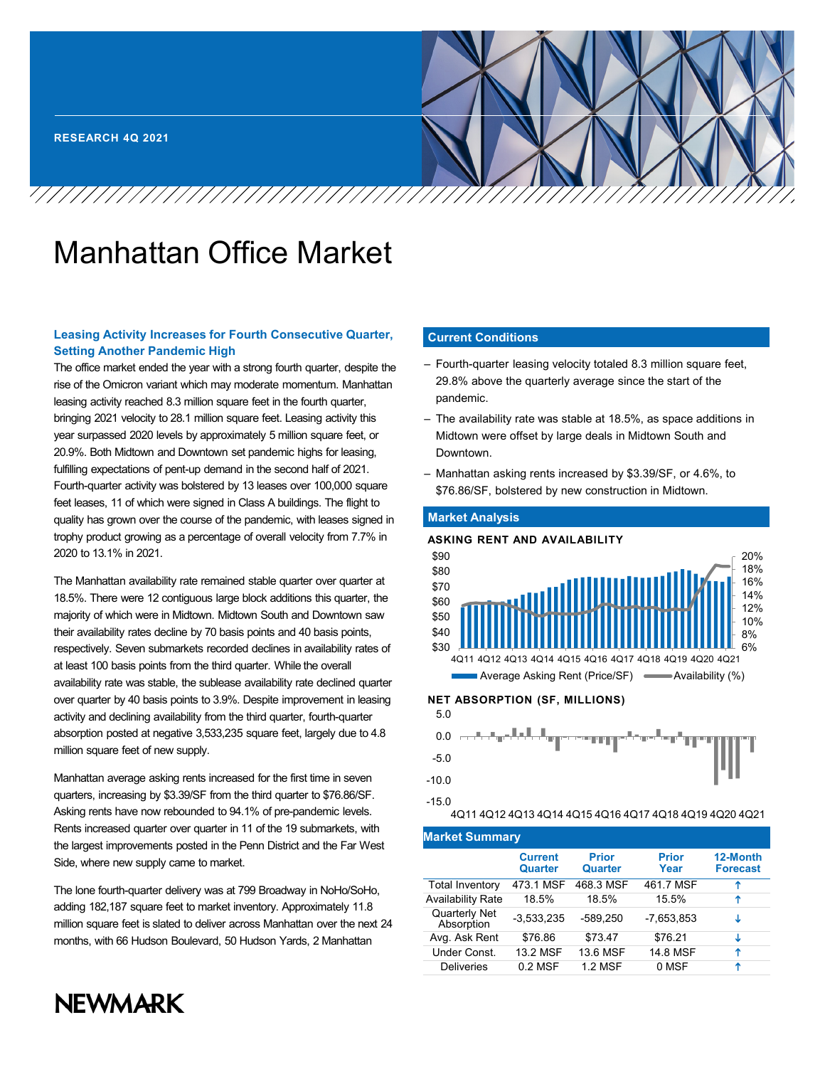# Manhattan Office Market

# **Leasing Activity Increases for Fourth Consecutive Quarter, Setting Another Pandemic High**

The office market ended the year with a strong fourth quarter, despite the rise of the Omicron variant which may moderate momentum. Manhattan leasing activity reached 8.3 million square feet in the fourth quarter, bringing 2021 velocity to 28.1 million square feet. Leasing activity this year surpassed 2020 levels by approximately 5 million square feet, or 20.9%. Both Midtown and Downtown set pandemic highs for leasing, fulfilling expectations of pent-up demand in the second half of 2021. Fourth-quarter activity was bolstered by 13 leases over 100,000 square feet leases, 11 of which were signed in Class A buildings. The flight to quality has grown over the course of the pandemic, with leases signed in trophy product growing as a percentage of overall velocity from 7.7% in 2020 to 13.1% in 2021.

The Manhattan availability rate remained stable quarter over quarter at 18.5%. There were 12 contiguous large block additions this quarter, the majority of which were in Midtown. Midtown South and Downtown saw their availability rates decline by 70 basis points and 40 basis points, respectively. Seven submarkets recorded declines in availability rates of at least 100 basis points from the third quarter. While the overall availability rate was stable, the sublease availability rate declined quarter over quarter by 40 basis points to 3.9%. Despite improvement in leasing activity and declining availability from the third quarter, fourth-quarter absorption posted at negative 3,533,235 square feet, largely due to 4.8 million square feet of new supply.

Manhattan average asking rents increased for the first time in seven quarters, increasing by \$3.39/SF from the third quarter to \$76.86/SF. Asking rents have now rebounded to 94.1% of pre-pandemic levels. Rents increased quarter over quarter in 11 of the 19 submarkets, with the largest improvements posted in the Penn District and the Far West Side, where new supply came to market.

The lone fourth-quarter delivery was at 799 Broadway in NoHo/SoHo, adding 182,187 square feet to market inventory. Approximately 11.8 million square feet is slated to deliver across Manhattan over the next 24 months, with 66 Hudson Boulevard, 50 Hudson Yards, 2 Manhattan

# **Current Conditions** Street among the largest developments. The largest developments. The largest developments. The largest developments of  $\mathcal{L}_1$

- Fourth-quarter leasing velocity totaled 8.3 million square feet, 29.8% above the quarterly average since the start of the pandemic.
- The availability rate was stable at 18.5%, as space additions in Midtown were offset by large deals in Midtown South and Downtown.
- Manhattan asking rents increased by \$3.39/SF, or 4.6%, to \$76.86/SF, bolstered by new construction in Midtown.

# **Market Analysis**





4Q11 4Q12 4Q13 4Q14 4Q15 4Q16 4Q17 4Q18 4Q19 4Q20 4Q21

| <b>Market Summary</b>       |                           |                         |                      |                             |  |  |  |  |
|-----------------------------|---------------------------|-------------------------|----------------------|-----------------------------|--|--|--|--|
|                             | <b>Current</b><br>Quarter | <b>Prior</b><br>Quarter | <b>Prior</b><br>Year | 12-Month<br><b>Forecast</b> |  |  |  |  |
| <b>Total Inventory</b>      | 473.1 MSF                 | 468.3 MSF               | 461.7 MSF            | Ϋ                           |  |  |  |  |
| <b>Availability Rate</b>    | 18.5%                     | 18.5%                   | 15.5%                | ↑                           |  |  |  |  |
| Quarterly Net<br>Absorption | $-3,533,235$              | -589.250                | -7.653.853           | ↓                           |  |  |  |  |
| Avg. Ask Rent               | \$76.86                   | \$73.47                 | \$76.21              | ↓                           |  |  |  |  |
| Under Const.                | 13.2 MSF                  | 13.6 MSF                | 14.8 MSF             | ↑                           |  |  |  |  |
| <b>Deliveries</b>           | $0.2$ MSF                 | 1.2 MSF                 | 0 MSF                | ↑                           |  |  |  |  |

# **NEWMARK**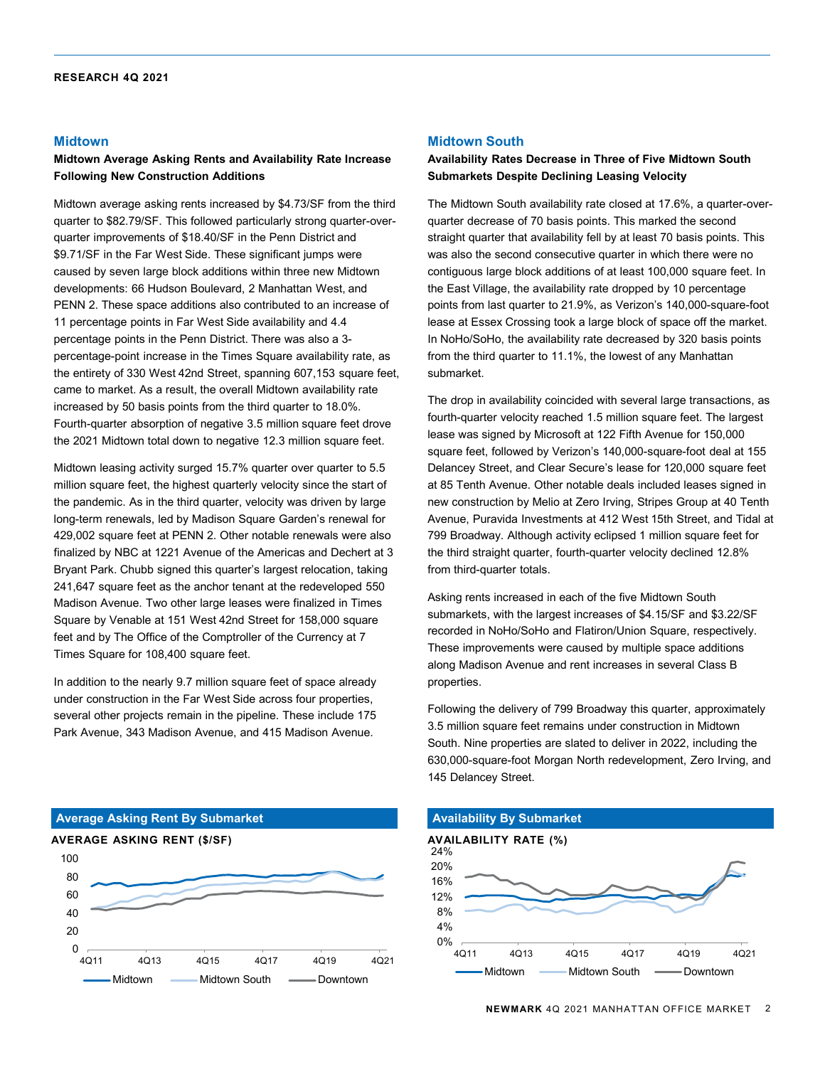## **Midtown**

## **Midtown Average Asking Rents and Availability Rate Increase Following New Construction Additions**

Midtown average asking rents increased by \$4.73/SF from the third quarter to \$82.79/SF. This followed particularly strong quarter-overquarter improvements of \$18.40/SF in the Penn District and \$9.71/SF in the Far West Side. These significant jumps were caused by seven large block additions within three new Midtown developments: 66 Hudson Boulevard, 2 Manhattan West, and PENN 2. These space additions also contributed to an increase of 11 percentage points in Far West Side availability and 4.4 percentage points in the Penn District. There was also a 3 percentage-point increase in the Times Square availability rate, as the entirety of 330 West 42nd Street, spanning 607,153 square feet, came to market. As a result, the overall Midtown availability rate increased by 50 basis points from the third quarter to 18.0%. Fourth-quarter absorption of negative 3.5 million square feet drove the 2021 Midtown total down to negative 12.3 million square feet.

Midtown leasing activity surged 15.7% quarter over quarter to 5.5 million square feet, the highest quarterly velocity since the start of the pandemic. As in the third quarter, velocity was driven by large long-term renewals, led by Madison Square Garden's renewal for 429,002 square feet at PENN 2. Other notable renewals were also finalized by NBC at 1221 Avenue of the Americas and Dechert at 3 Bryant Park. Chubb signed this quarter's largest relocation, taking 241,647 square feet as the anchor tenant at the redeveloped 550 Madison Avenue. Two other large leases were finalized in Times Square by Venable at 151 West 42nd Street for 158,000 square feet and by The Office of the Comptroller of the Currency at 7 Times Square for 108,400 square feet.

In addition to the nearly 9.7 million square feet of space already under construction in the Far West Side across four properties, several other projects remain in the pipeline. These include 175 Park Avenue, 343 Madison Avenue, and 415 Madison Avenue.

# $\Omega$ 20 40 60 80 100 4Q11 4Q13 4Q15 4Q17 4Q19 4Q21 Midtown **Midtown South Midtown AVERAGE ASKING RENT (\$/SF) Average Asking Rent By Submarket**

# **Midtown South**

## **Availability Rates Decrease in Three of Five Midtown South Submarkets Despite Declining Leasing Velocity**

The Midtown South availability rate closed at 17.6%, a quarter-overquarter decrease of 70 basis points. This marked the second straight quarter that availability fell by at least 70 basis points. This was also the second consecutive quarter in which there were no contiguous large block additions of at least 100,000 square feet. In the East Village, the availability rate dropped by 10 percentage points from last quarter to 21.9%, as Verizon's 140,000-square-foot lease at Essex Crossing took a large block of space off the market. In NoHo/SoHo, the availability rate decreased by 320 basis points from the third quarter to 11.1%, the lowest of any Manhattan submarket.

The drop in availability coincided with several large transactions, as fourth-quarter velocity reached 1.5 million square feet. The largest lease was signed by Microsoft at 122 Fifth Avenue for 150,000 square feet, followed by Verizon's 140,000-square-foot deal at 155 Delancey Street, and Clear Secure's lease for 120,000 square feet at 85 Tenth Avenue. Other notable deals included leases signed in new construction by Melio at Zero Irving, Stripes Group at 40 Tenth Avenue, Puravida Investments at 412 West 15th Street, and Tidal at 799 Broadway. Although activity eclipsed 1 million square feet for the third straight quarter, fourth-quarter velocity declined 12.8% from third-quarter totals.

Asking rents increased in each of the five Midtown South submarkets, with the largest increases of \$4.15/SF and \$3.22/SF recorded in NoHo/SoHo and Flatiron/Union Square, respectively. These improvements were caused by multiple space additions along Madison Avenue and rent increases in several Class B properties.

Following the delivery of 799 Broadway this quarter, approximately 3.5 million square feet remains under construction in Midtown South. Nine properties are slated to deliver in 2022, including the 630,000-square-foot Morgan North redevelopment, Zero Irving, and 145 Delancey Street.

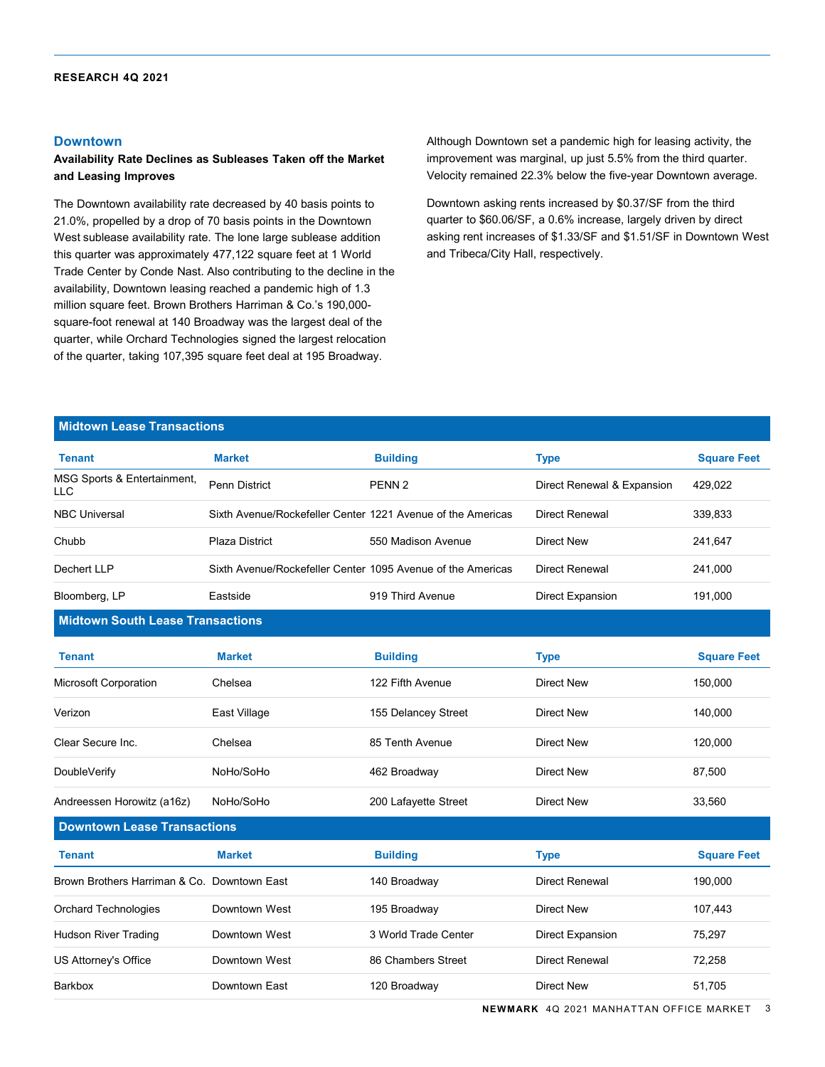## **Downtown**

# **Availability Rate Declines as Subleases Taken off the Market and Leasing Improves**

The Downtown availability rate decreased by 40 basis points to 21.0%, propelled by a drop of 70 basis points in the Downtown West sublease availability rate. The lone large sublease addition this quarter was approximately 477,122 square feet at 1 World Trade Center by Conde Nast. Also contributing to the decline in the availability, Downtown leasing reached a pandemic high of 1.3 million square feet. Brown Brothers Harriman & Co.'s 190,000 square-foot renewal at 140 Broadway was the largest deal of the quarter, while Orchard Technologies signed the largest relocation of the quarter, taking 107,395 square feet deal at 195 Broadway.

Although Downtown set a pandemic high for leasing activity, the improvement was marginal, up just 5.5% from the third quarter. Velocity remained 22.3% below the five-year Downtown average.

Downtown asking rents increased by \$0.37/SF from the third quarter to \$60.06/SF, a 0.6% increase, largely driven by direct asking rent increases of \$1.33/SF and \$1.51/SF in Downtown West and Tribeca/City Hall, respectively.

# **Midtown Lease Transactions**

| <b>Tenant</b>                               | <b>Market</b>                                               | <b>Building</b>      | <b>Type</b>                | <b>Square Feet</b> |
|---------------------------------------------|-------------------------------------------------------------|----------------------|----------------------------|--------------------|
| MSG Sports & Entertainment,<br>LLC          | <b>Penn District</b>                                        | PENN <sub>2</sub>    | Direct Renewal & Expansion | 429,022            |
| <b>NBC Universal</b>                        | Sixth Avenue/Rockefeller Center 1221 Avenue of the Americas |                      | <b>Direct Renewal</b>      | 339,833            |
| Chubb                                       | <b>Plaza District</b>                                       | 550 Madison Avenue   | Direct New                 | 241,647            |
| Dechert LLP                                 | Sixth Avenue/Rockefeller Center 1095 Avenue of the Americas |                      | <b>Direct Renewal</b>      | 241,000            |
| Bloomberg, LP                               | Eastside                                                    | 919 Third Avenue     | Direct Expansion           | 191,000            |
| <b>Midtown South Lease Transactions</b>     |                                                             |                      |                            |                    |
| <b>Tenant</b>                               | <b>Market</b>                                               | <b>Building</b>      | <b>Type</b>                | <b>Square Feet</b> |
| <b>Microsoft Corporation</b>                | Chelsea                                                     | 122 Fifth Avenue     | Direct New                 | 150,000            |
| Verizon                                     | East Village                                                | 155 Delancey Street  | Direct New                 | 140,000            |
| Clear Secure Inc.                           | Chelsea                                                     | 85 Tenth Avenue      | Direct New                 | 120,000            |
| DoubleVerify                                | NoHo/SoHo                                                   | 462 Broadway         | Direct New                 | 87,500             |
| Andreessen Horowitz (a16z)                  | NoHo/SoHo                                                   | 200 Lafayette Street | Direct New                 | 33,560             |
| <b>Downtown Lease Transactions</b>          |                                                             |                      |                            |                    |
| <b>Tenant</b>                               | <b>Market</b>                                               | <b>Building</b>      | <b>Type</b>                | <b>Square Feet</b> |
| Brown Brothers Harriman & Co. Downtown East |                                                             | 140 Broadway         | <b>Direct Renewal</b>      | 190,000            |
| <b>Orchard Technologies</b>                 | Downtown West                                               | 195 Broadway         | <b>Direct New</b>          | 107,443            |
| <b>Hudson River Trading</b>                 | Downtown West                                               | 3 World Trade Center | Direct Expansion           | 75,297             |
| US Attorney's Office                        | Downtown West                                               | 86 Chambers Street   | <b>Direct Renewal</b>      | 72,258             |
| Barkbox                                     | Downtown East                                               | 120 Broadway         | Direct New                 | 51,705             |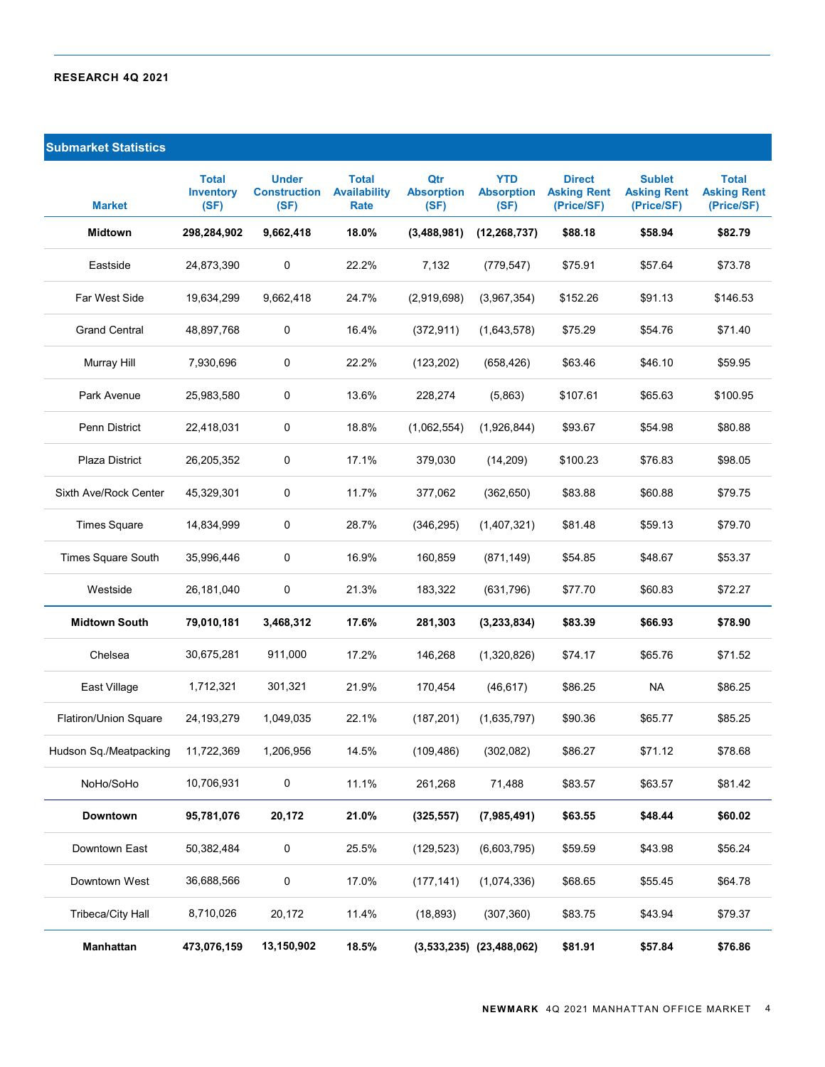# **Submarket Statistics**

| <b>Market</b>             | <b>Total</b><br><b>Inventory</b><br>(SF) | <b>Under</b><br><b>Construction</b><br>(SF) | <b>Total</b><br><b>Availability</b><br><b>Rate</b> | Qtr<br><b>Absorption</b><br>(SF) | <b>YTD</b><br><b>Absorption</b><br>(SF) | <b>Direct</b><br><b>Asking Rent</b><br>(Price/SF) | <b>Sublet</b><br><b>Asking Rent</b><br>(Price/SF) | <b>Total</b><br><b>Asking Rent</b><br>(Price/SF) |
|---------------------------|------------------------------------------|---------------------------------------------|----------------------------------------------------|----------------------------------|-----------------------------------------|---------------------------------------------------|---------------------------------------------------|--------------------------------------------------|
| <b>Midtown</b>            | 298,284,902                              | 9,662,418                                   | 18.0%                                              | (3,488,981)                      | (12, 268, 737)                          | \$88.18                                           | \$58.94                                           | \$82.79                                          |
| Eastside                  | 24,873,390                               | 0                                           | 22.2%                                              | 7,132                            | (779, 547)                              | \$75.91                                           | \$57.64                                           | \$73.78                                          |
| Far West Side             | 19,634,299                               | 9.662.418                                   | 24.7%                                              | (2,919,698)                      | (3,967,354)                             | \$152.26                                          | \$91.13                                           | \$146.53                                         |
| <b>Grand Central</b>      | 48,897,768                               | 0                                           | 16.4%                                              | (372, 911)                       | (1,643,578)                             | \$75.29                                           | \$54.76                                           | \$71.40                                          |
| Murray Hill               | 7,930,696                                | 0                                           | 22.2%                                              | (123, 202)                       | (658, 426)                              | \$63.46                                           | \$46.10                                           | \$59.95                                          |
| Park Avenue               | 25,983,580                               | 0                                           | 13.6%                                              | 228,274                          | (5,863)                                 | \$107.61                                          | \$65.63                                           | \$100.95                                         |
| Penn District             | 22,418,031                               | 0                                           | 18.8%                                              | (1,062,554)                      | (1,926,844)                             | \$93.67                                           | \$54.98                                           | \$80.88                                          |
| Plaza District            | 26,205,352                               | 0                                           | 17.1%                                              | 379,030                          | (14, 209)                               | \$100.23                                          | \$76.83                                           | \$98.05                                          |
| Sixth Ave/Rock Center     | 45,329,301                               | 0                                           | 11.7%                                              | 377,062                          | (362, 650)                              | \$83.88                                           | \$60.88                                           | \$79.75                                          |
| <b>Times Square</b>       | 14,834,999                               | 0                                           | 28.7%                                              | (346, 295)                       | (1,407,321)                             | \$81.48                                           | \$59.13                                           | \$79.70                                          |
| <b>Times Square South</b> | 35,996,446                               | 0                                           | 16.9%                                              | 160,859                          | (871, 149)                              | \$54.85                                           | \$48.67                                           | \$53.37                                          |
| Westside                  | 26,181,040                               | 0                                           | 21.3%                                              | 183,322                          | (631, 796)                              | \$77.70                                           | \$60.83                                           | \$72.27                                          |
| <b>Midtown South</b>      | 79,010,181                               | 3,468,312                                   | 17.6%                                              | 281,303                          | (3, 233, 834)                           | \$83.39                                           | \$66.93                                           | \$78.90                                          |
| Chelsea                   | 30,675,281                               | 911,000                                     | 17.2%                                              | 146,268                          | (1,320,826)                             | \$74.17                                           | \$65.76                                           | \$71.52                                          |
| East Village              | 1,712,321                                | 301,321                                     | 21.9%                                              | 170,454                          | (46, 617)                               | \$86.25                                           | <b>NA</b>                                         | \$86.25                                          |
| Flatiron/Union Square     | 24,193,279                               | 1,049,035                                   | 22.1%                                              | (187, 201)                       | (1,635,797)                             | \$90.36                                           | \$65.77                                           | \$85.25                                          |
| Hudson Sq./Meatpacking    | 11,722,369                               | 1,206,956                                   | 14.5%                                              | (109, 486)                       | (302, 082)                              | \$86.27                                           | \$71.12                                           | \$78.68                                          |
| NoHo/SoHo                 | 10,706,931                               | 0                                           | 11.1%                                              | 261,268                          | 71,488                                  | \$83.57                                           | \$63.57                                           | \$81.42                                          |
| <b>Downtown</b>           | 95,781,076                               | 20,172                                      | 21.0%                                              | (325, 557)                       | (7,985,491)                             | \$63.55                                           | \$48.44                                           | \$60.02                                          |
| Downtown East             | 50,382,484                               | 0                                           | 25.5%                                              | (129, 523)                       | (6,603,795)                             | \$59.59                                           | \$43.98                                           | \$56.24                                          |
| Downtown West             | 36,688,566                               | 0                                           | 17.0%                                              | (177, 141)                       | (1,074,336)                             | \$68.65                                           | \$55.45                                           | \$64.78                                          |
| <b>Tribeca/City Hall</b>  | 8,710,026                                | 20,172                                      | 11.4%                                              | (18, 893)                        | (307, 360)                              | \$83.75                                           | \$43.94                                           | \$79.37                                          |
| Manhattan                 | 473,076,159                              | 13,150,902                                  | 18.5%                                              |                                  | $(3,533,235)$ $(23,488,062)$            | \$81.91                                           | \$57.84                                           | \$76.86                                          |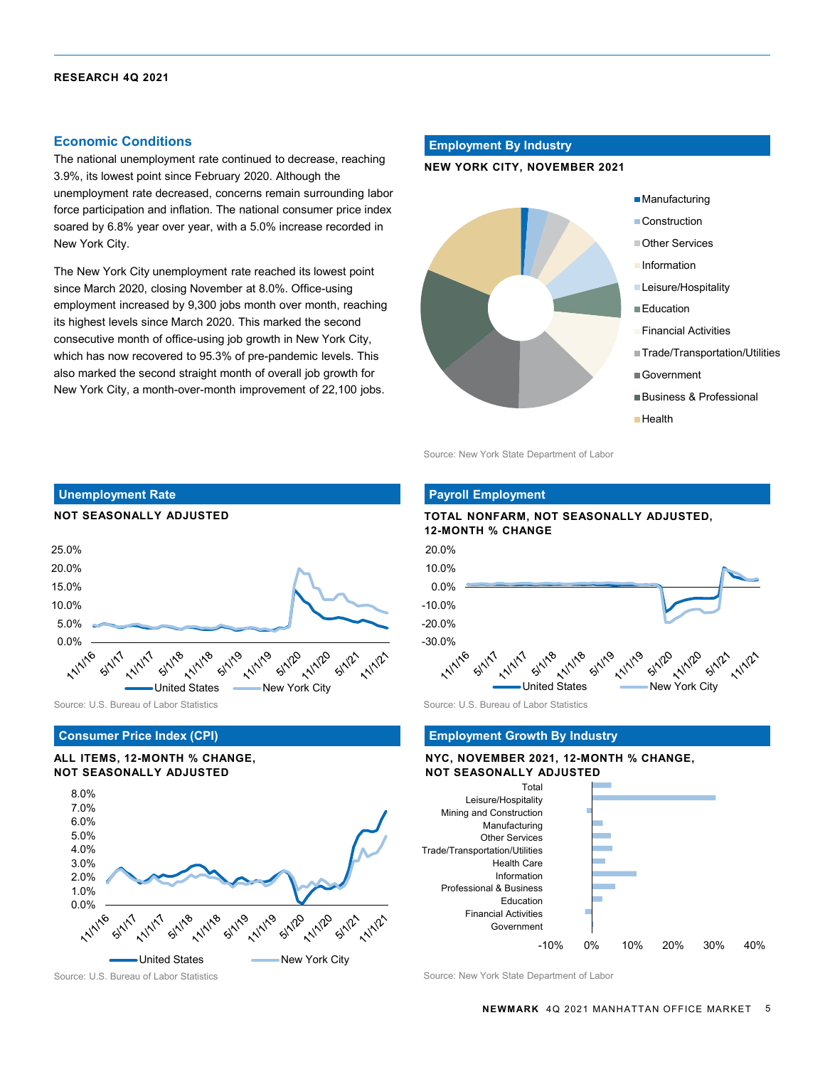# **Economic Conditions**

The national unemployment rate continued to decrease, reaching 3.9%, its lowest point since February 2020. Although the unemployment rate decreased, concerns remain surrounding labor force participation and inflation. The national consumer price index soared by 6.8% year over year, with a 5.0% increase recorded in New York City.

The New York City unemployment rate reached its lowest point since March 2020, closing November at 8.0%. Office-using employment increased by 9,300 jobs month over month, reaching its highest levels since March 2020. This marked the second consecutive month of office-using job growth in New York City, which has now recovered to 95.3% of pre-pandemic levels. This also marked the second straight month of overall job growth for New York City, a month-over-month improvement of 22,100 jobs.

# **Employment By Industry**

## **NEW YORK CITY, NOVEMBER 2021**



Source: New York State Department of Labor



Source: U.S. Bureau of Labor Statistics Source: U.S. Bureau of Labor Statistics Source: U.S. Bureau of Labor Statistics

### **Consumer Price Index (CPI)**

# **ALL ITEMS, 12-MONTH % CHANGE, NOT SEASONALLY ADJUSTED**



**Payroll Employment**





### **Employment Growth By Industry**

## **NYC, NOVEMBER 2021, 12-MONTH % CHANGE, NOT SEASONALLY ADJUSTED**



Source: U.S. Bureau of Labor Statistics Source: New York State Department of Labor State Department of Labor